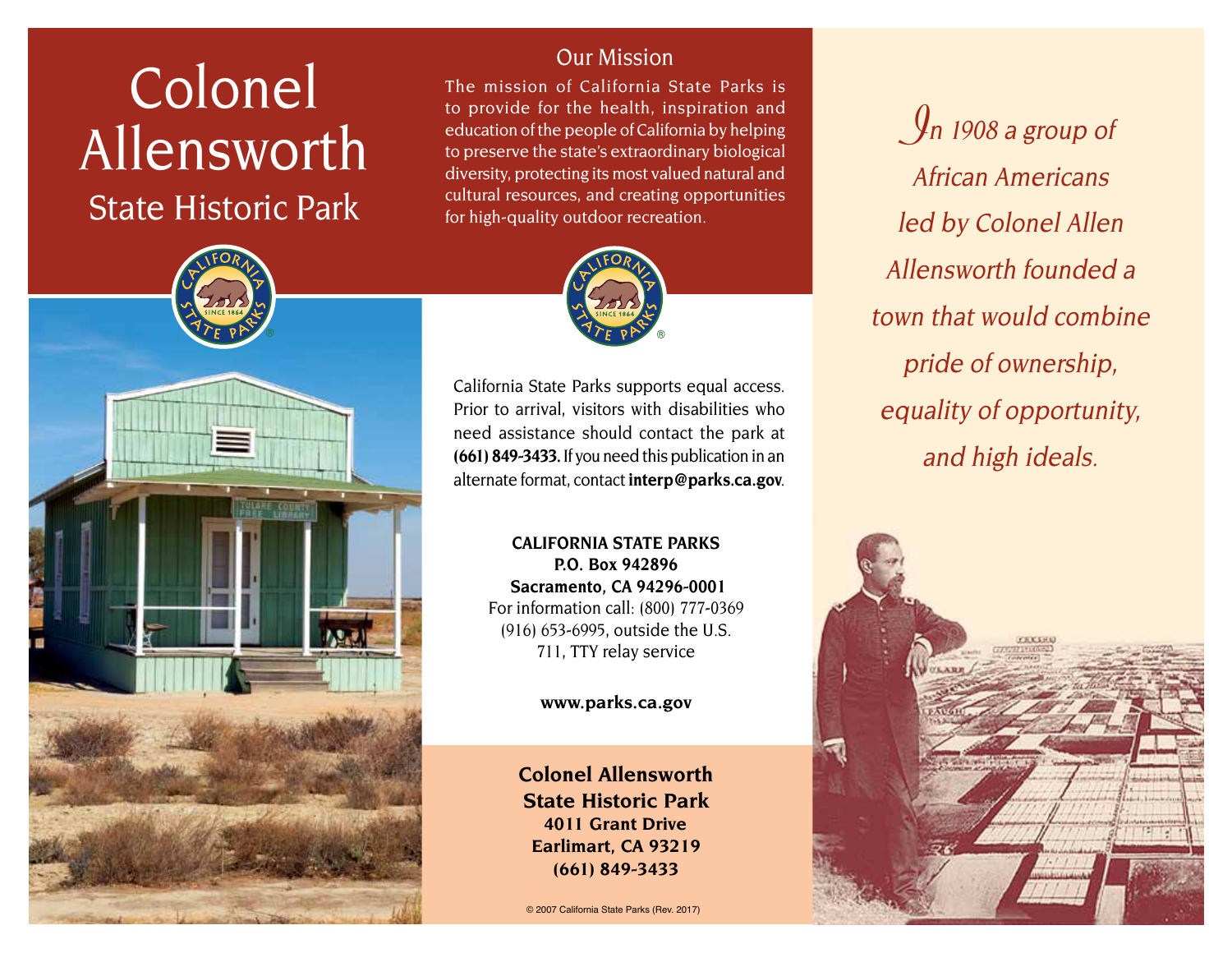# **Colonel** Allensworth State Historic Park



#### Our Mission

The mission of California State Parks is to provide for the health, inspiration and education of the people of California by helping to preserve the state's extraordinary biological diversity, protecting its most valued natural and cultural resources, and creating opportunities for high-quality outdoor recreation.



California State Parks supports equal access. Prior to arrival, visitors with disabilities who need assistance should contact the park at **(661) 849-3433.** If you need this publication in an alternate format, contact **[interp@parks.ca.gov](mailto:interp@parks.ca.gov)**.

> **CALIFORNIA STATE PARKS P.O. Box 942896 Sacramento, CA 94296-0001** For information call: (800) 777-0369 (916) 653-6995, outside the U.S. 711, TTY relay service

> > **[www.parks.ca.gov](http://www.parks.ca.gov)**

**Colonel Allensworth State Historic Park 4011 Grant Drive Earlimart, CA 93219 (661) 849-3433**

© 2007 California State Parks (Rev. 2017)

 $\int$ n 1908 a group of African Americans led by Colonel Allen Allensworth founded a town that would combine pride of ownership, equality of opportunity, and high ideals.

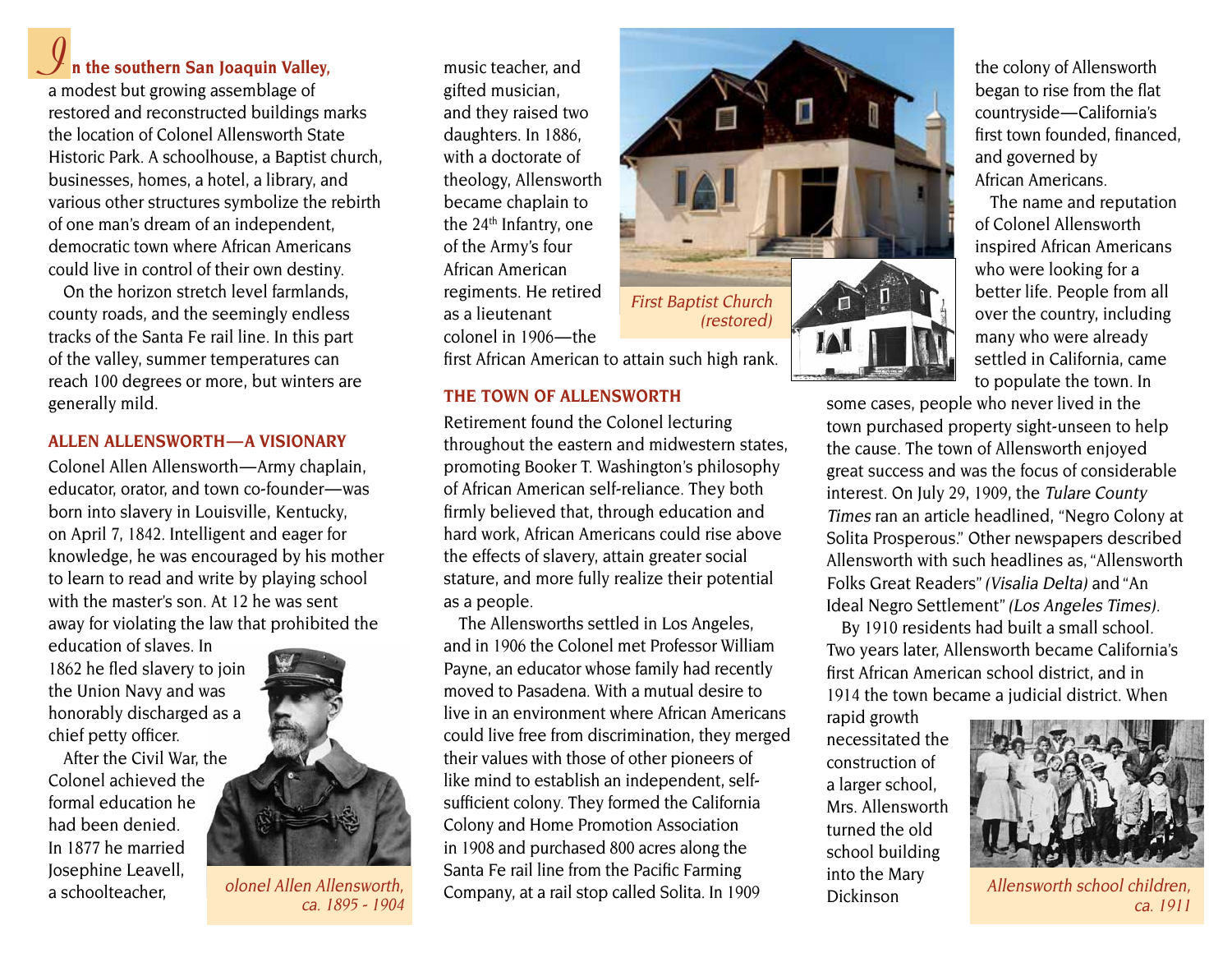## **I n the southern San Joaquin Valley,**

a modest but growing assemblage of restored and reconstructed buildings marks the location of Colonel Allensworth State Historic Park. A schoolhouse, a Baptist church, businesses, homes, a hotel, a library, and various other structures symbolize the rebirth of one man's dream of an independent, democratic town where African Americans could live in control of their own destiny.

On the horizon stretch level farmlands, county roads, and the seemingly endless tracks of the Santa Fe rail line. In this part of the valley, summer temperatures can reach 100 degrees or more, but winters are generally mild.

#### **ALLEN ALLENSwORTH — A VISIONARy**

Colonel Allen Allensworth — Army chaplain, educator, orator, and town co-founder-was born into slavery in Louisville, Kentucky, on April 7, 1842. Intelligent and eager for knowledge, he was encouraged by his mother to learn to read and write by playing school with the master's son. At 12 he was sent away for violating the law that prohibited the

education of slaves. In 1862 he fled slavery to join the Union Navy and was honorably discharged as a chief petty officer.

After the Civil War, the Colonel achieved the formal education he had been denied. In 1877 he married Josephine Leavell,<br>a schoolteacher.



olonel Allen Allensworth, ca. 1895 - 1904

music teacher, and gifted musician, and they raised two daughters. In 1886, with a doctorate of theology, Allensworth became chaplain to the 24<sup>th</sup> Infantry, one of the Army's four African American regiments. He retired as a lieutenant colonel in 1906 — the

first African American to attain such high rank.

#### **THE TOwN OF ALLENSwORTH**

Retirement found the Colonel lecturing throughout the eastern and midwestern states, promoting Booker T. Washington's philosophy of African American self-reliance. They both firmly believed that, through education and hard work, African Americans could rise above the effects of slavery, attain greater social stature, and more fully realize their potential as a people.

The Allensworths settled in Los Angeles, and in 1906 the Colonel met Professor William Payne, an educator whose family had recently moved to Pasadena. With a mutual desire to live in an environment where African Americans could live free from discrimination, they merged their values with those of other pioneers of like mind to establish an independent, selfsufficient colony. They formed the California Colony and Home Promotion Association in 1908 and purchased 800 acres along the Santa Fe rail line from the Pacific Farming Company, at a rail stop called Solita. In 1909



the colony of Allensworth began to rise from the flat countryside—California's first town founded, financed, and governed by African Americans.

The name and reputation of Colonel Allensworth inspired African Americans who were looking for a better life. People from all over the country, including many who were already settled in California, came to populate the town. In

some cases, people who never lived in the town purchased property sight-unseen to help the cause. The town of Allensworth enjoyed great success and was the focus of considerable interest. On July 29, 1909, the Tulare County Times ran an article headlined, "Negro Colony at Solita Prosperous." Other newspapers described Allensworth with such headlines as, "Allensworth Folks Great Readers"(Visalia Delta) and "An Ideal Negro Settlement" (Los Angeles Times).

By 1910 residents had built a small school. Two years later, Allensworth became California's first African American school district, and in 1914 the town became a judicial district. When

rapid growth necessitated the construction of a larger school, Mrs. Allensworth turned the old school building into the Mary Dickinson



Allensworth school children, ca. 1911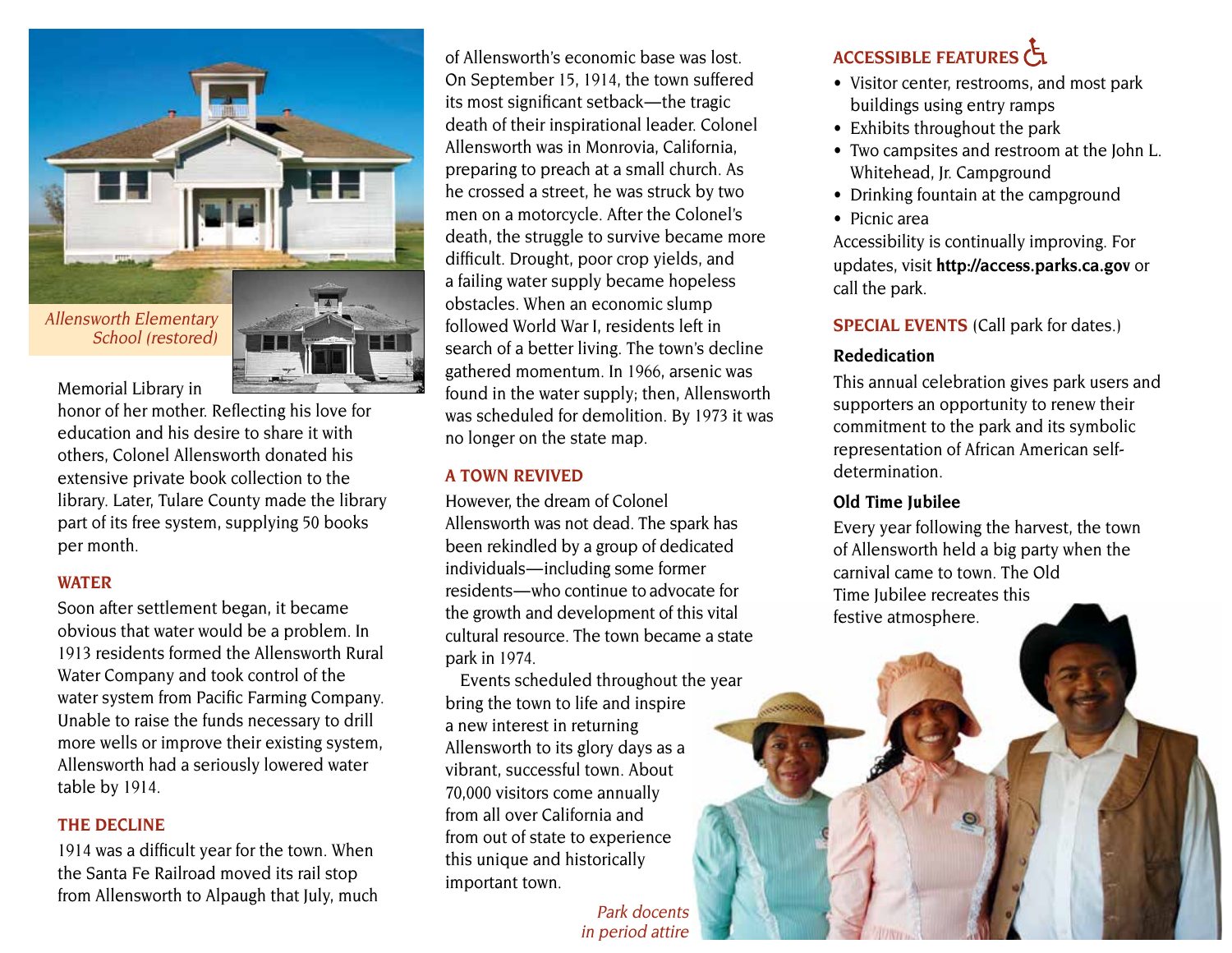

Memorial Library in

honor of her mother. Reflecting his love for education and his desire to share it with others, Colonel Allensworth donated his extensive private book collection to the library. Later, Tulare County made the library part of its free system, supplying 50 books per month.

#### **WATER**

Soon after settlement began, it became obvious that water would be a problem. In 1913 residents formed the Allensworth Rural Water Company and took control of the water system from Pacific Farming Company. Unable to raise the funds necessary to drill more wells or improve their existing system, Allensworth had a seriously lowered water table by 1914.

#### **THE DECLINE**

1914 was a difficult year for the town. When the Santa Fe Railroad moved its rail stop from Allensworth to Alpaugh that July, much

of Allensworth's economic base was lost. On September 15, 1914, the town suffered its most significant setback — the tragic death of their inspirational leader. Colonel Allensworth was in Monrovia, California, preparing to preach at a small church. As he crossed a street, he was struck by two men on a motorcycle. After the Colonel's death, the struggle to survive became more difficult. Drought, poor crop yields, and a failing water supply became hopeless obstacles. When an economic slump followed World War I, residents left in search of a better living. The town's decline gathered momentum. In 1966, arsenic was found in the water supply; then, Allensworth was scheduled for demolition. By 1973 it was no longer on the state map.

#### **A TOwN REVIVED**

However, the dream of Colonel Allensworth was not dead. The spark has been rekindled by a group of dedicated individuals—including some former residents — who continue to advocate for the growth and development of this vital cultural resource. The town became a state park in 1974.

Events scheduled throughout the year bring the town to life and inspire a new interest in returning Allensworth to its glory days as a vibrant, successful town. About 70,000 visitors come annually from all over California and from out of state to experience this unique and historically important town.

### **ACCESSIBLE FEATuRES**

- Visitor center, restrooms, and most park buildings using entry ramps
- Exhibits throughout the park
- Two campsites and restroom at the John L. Whitehead, Jr. Campground
- Drinking fountain at the campground
- Picnic area

Accessibility is continually improving. For updates, visit **<http://access.parks.ca.gov>** or call the park.

#### **SPECIAL EVENTS** (Call park for dates.)

#### **Rededication**

This annual celebration gives park users and supporters an opportunity to renew their commitment to the park and its symbolic representation of African American selfdetermination.

#### **Old Time Jubilee**

Every year following the harvest, the town of Allensworth held a big party when the carnival came to town. The Old Time Jubilee recreates this festive atmosphere.